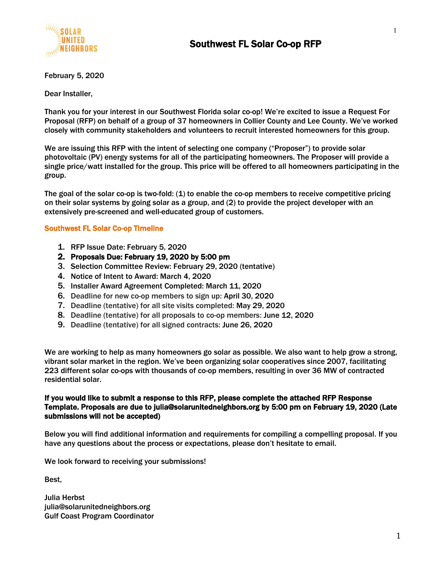

February 5, 2020

Dear Installer,

Thank you for your interest in our Southwest Florida solar co-op! We're excited to issue a Request For Proposal (RFP) on behalf of a group of 37 homeowners in Collier County and Lee County. We've worked closely with community stakeholders and volunteers to recruit interested homeowners for this group.

We are issuing this RFP with the intent of selecting one company ("Proposer") to provide solar photovoltaic (PV) energy systems for all of the participating homeowners. The Proposer will provide a single price/watt installed for the group. This price will be offered to all homeowners participating in the group.

The goal of the solar co-op is two-fold: (1) to enable the co-op members to receive competitive pricing on their solar systems by going solar as a group, and (2) to provide the project developer with an extensively pre-screened and well-educated group of customers.

#### Southwest FL Solar Co-op Timeline

- 1. RFP Issue Date: February 5, 2020
- 2. Proposals Due: February 19, 2020 by 5:00 pm
- 3. Selection Committee Review: February 29, 2020 (tentative)
- 4. Notice of Intent to Award: March 4, 2020
- 5. Installer Award Agreement Completed: March 11, 2020
- 6. Deadline for new co-op members to sign up: April 30, 2020
- 7. Deadline (tentative) for all site visits completed: May 29, 2020
- 8. Deadline (tentative) for all proposals to co-op members: June 12, 2020
- 9. Deadline (tentative) for all signed contracts: June 26, 2020

We are working to help as many homeowners go solar as possible. We also want to help grow a strong, vibrant solar market in the region. We've been organizing solar cooperatives since 2007, facilitating 223 different solar co-ops with thousands of co-op members, resulting in over 36 MW of contracted residential solar.

#### If you would like to submit a response to this RFP, please complete the attached RFP Response Template. Proposals are due to julia@solarunitedneighbors.org by 5:00 pm on February 19, 2020 (Late submissions will not be accepted)

Below you will find additional information and requirements for compiling a compelling proposal. If you have any questions about the process or expectations, please don't hesitate to email.

We look forward to receiving your submissions!

Best,

Julia Herbst julia@solarunitedneighbors.org Gulf Coast Program Coordinator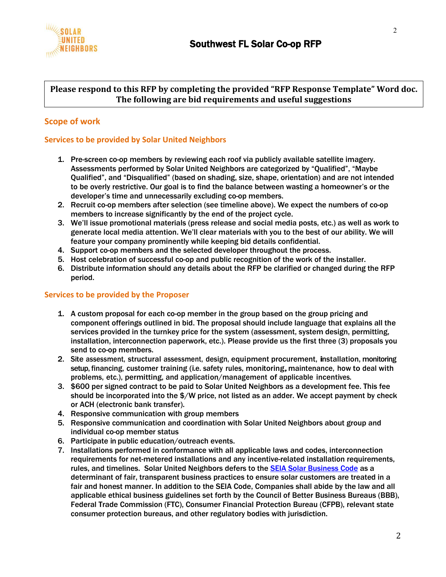

## **Please respond to this RFP by completing the provided "RFP Response Template" Word doc. The following are bid requirements and useful suggestions**

## **Scope of work**

### **Services to be provided by Solar United Neighbors**

- 1. Pre-screen co-op members by reviewing each roof via publicly available satellite imagery. Assessments performed by Solar United Neighbors are categorized by "Qualified", "Maybe Qualified", and "Disqualified" (based on shading, size, shape, orientation) and are not intended to be overly restrictive. Our goal is to find the balance between wasting a homeowner's or the developer's time and unnecessarily excluding co-op members.
- 2. Recruit co-op members after selection (see timeline above). We expect the numbers of co-op members to increase significantly by the end of the project cycle.
- 3. We'll issue promotional materials (press release and social media posts, etc.) as well as work to generate local media attention. We'll clear materials with you to the best of our ability. We will feature your company prominently while keeping bid details confidential.
- 4. Support co-op members and the selected developer throughout the process.
- 5. Host celebration of successful co-op and public recognition of the work of the installer.
- 6. Distribute information should any details about the RFP be clarified or changed during the RFP period.

### **Services to be provided by the Proposer**

- 1. A custom proposal for each co-op member in the group based on the group pricing and component offerings outlined in bid. The proposal should include language that explains all the services provided in the turnkey price for the system (assessment, system design, permitting, installation, interconnection paperwork, etc.). Please provide us the first three (3) proposals you send to co-op members.
- 2. Site assessment, structural assessment, design, equipment procurement, installation, monitoring setup, financing, customer training (i.e. safety rules, monitoring,maintenance, how to deal with problems, etc.), permitting, and application/management of applicable incentives.
- 3. \$600 per signed contract to be paid to Solar United Neighbors as a development fee. This fee should be incorporated into the \$/W price, not listed as an adder. We accept payment by check or ACH (electronic bank transfer).
- 4. Responsive communication with group members
- 5. Responsive communication and coordination with Solar United Neighbors about group and individual co-op member status
- 6. Participate in public education/outreach events.
- 7. Installations performed in conformance with all applicable laws and codes, interconnection requirements for net-metered installations and any incentive-related installation requirements, rules, and timelines. Solar United Neighbors defers to the [SEIA Solar Business Code](http://www.seia.org/policy/consumer-protection/seia-solar-business-code) as a determinant of fair, transparent business practices to ensure solar customers are treated in a fair and honest manner. In addition to the SEIA Code, Companies shall abide by the law and all applicable ethical business guidelines set forth by the Council of Better Business Bureaus (BBB), Federal Trade Commission (FTC), Consumer Financial Protection Bureau (CFPB), relevant state consumer protection bureaus, and other regulatory bodies with jurisdiction.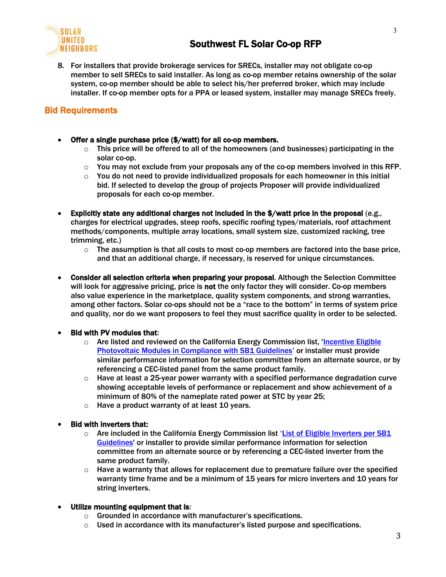

8. For installers that provide brokerage services for SRECs, installer may not obligate co-op member to sell SRECs to said installer. As long as co-op member retains ownership of the solar system, co-op member should be able to select his/her preferred broker, which may include installer. If co-op member opts for a PPA or leased system, installer may manage SRECs freely.

# Bid Requirements

- Offer a single purchase price (\$/watt) for all co-op members.
	- $\circ$  This price will be offered to all of the homeowners (and businesses) participating in the solar co-op.
	- $\circ$  You may not exclude from your proposals any of the co-op members involved in this RFP.
	- $\circ$  You do not need to provide individualized proposals for each homeowner in this initial bid. If selected to develop the group of projects Proposer will provide individualized proposals for each co-op member.
- Explicitly state any additional charges not included in the \$/watt price in the proposal (e.g., charges for electrical upgrades, steep roofs, specific roofing types/materials, roof attachment methods/components, multiple array locations, small system size, customized racking, tree trimming, etc.)
	- $\circ$  The assumption is that all costs to most co-op members are factored into the base price, and that an additional charge, if necessary, is reserved for unique circumstances.
- Consider all selection criteria when preparing your proposal. Although the Selection Committee will look for aggressive pricing, price is not the only factor they will consider. Co-op members also value experience in the marketplace, quality system components, and strong warranties, among other factors. Solar co-ops should not be a "race to the bottom" in terms of system price and quality, nor do we want proposers to feel they must sacrifice quality in order to be selected.

### • Bid with PV modules that:

- $\circ$  Are listed and reviewed on the California Energy Commission list, 'Incentive Eligible [Photovoltaic Modules in Compliance with SB1 Guidelines](http://www.gosolarcalifornia.ca.gov/equipment/pv_modules.php)' or installer must provide similar performance information for selection committee from an alternate source, or by referencing a CEC-listed panel from the same product family.
- $\circ$  Have at least a 25-year power warranty with a specified performance degradation curve showing acceptable levels of performance or replacement and show achievement of a minimum of 80% of the nameplate rated power at STC by year 25;
- $\circ$  Have a product warranty of at least 10 years.
- Bid with inverters that:
	- $\circ$  Are included in the California Energy Commission list 'List of Eligible Inverters per SB1 [Guidelines'](http://www.gosolarcalifornia.ca.gov/equipment/inverters.php) or installer to provide similar performance information for selection committee from an alternate source or by referencing a CEC-listed inverter from the same product family.
	- $\circ$  Have a warranty that allows for replacement due to premature failure over the specified warranty time frame and be a minimum of 15 years for micro inverters and 10 years for string inverters.
- Utilize mounting equipment that is:
	- o Grounded in accordance with manufacturer's specifications.
	- $\circ$  Used in accordance with its manufacturer's listed purpose and specifications.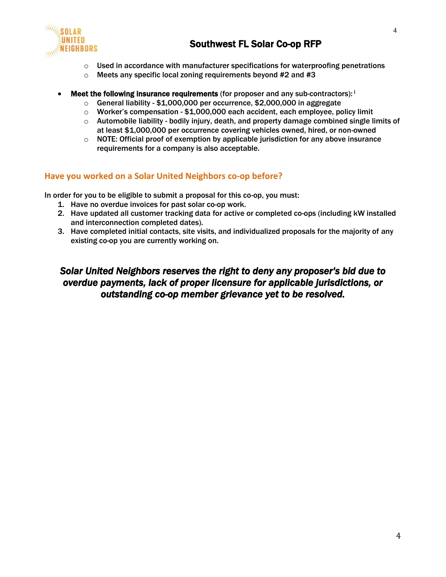

- $\circ$  Used in accordance with manufacturer specifications for waterproofing penetrations
- $\circ$  Meets any specific local zoning requirements beyond #2 and #3
- **Meet the following insurance requirements** (for proposer and any sub-contractors):  $\mathbf{i}$ 
	- $\circ$  General liability \$1,000,000 per occurrence, \$2,000,000 in aggregate
	- $\circ$  Worker's compensation \$1,000,000 each accident, each employee, policy limit
	- $\circ$  Automobile liability bodily injury, death, and property damage combined single limits of at least \$1,000,000 per occurrence covering vehicles owned, hired, or non-owned
	- $\circ$  NOTE: Official proof of exemption by applicable jurisdiction for any above insurance requirements for a company is also acceptable.

## **Have you worked on a Solar United Neighbors co-op before?**

In order for you to be eligible to submit a proposal for this co-op, you must:

- 1. Have no overdue invoices for past solar co-op work.
- 2. Have updated all customer tracking data for active or completed co-ops (including kW installed and interconnection completed dates).
- 3. Have completed initial contacts, site visits, and individualized proposals for the majority of any existing co-op you are currently working on.

# *Solar United Neighbors reserves the right to deny any proposer's bid due to overdue payments, lack of proper licensure for applicable jurisdictions, or outstanding co-op member grievance yet to be resolved.*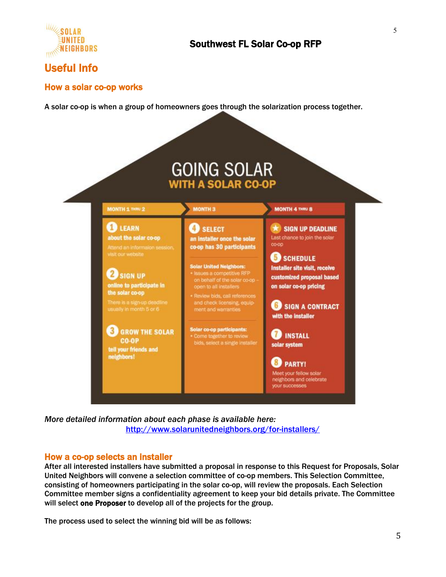

# Useful Info

## How a solar co-op works

A solar co-op is when a group of homeowners goes through the solarization process together.



*More detailed information about each phase is available here:* <http://www.solarunitedneighbors.org/for-installers/>

### How a co-op selects an installer

After all interested installers have submitted a proposal in response to this Request for Proposals, Solar United Neighbors will convene a selection committee of co-op members. This Selection Committee, consisting of homeowners participating in the solar co-op, will review the proposals. Each Selection Committee member signs a confidentiality agreement to keep your bid details private. The Committee will select one Proposer to develop all of the projects for the group.

The process used to select the winning bid will be as follows: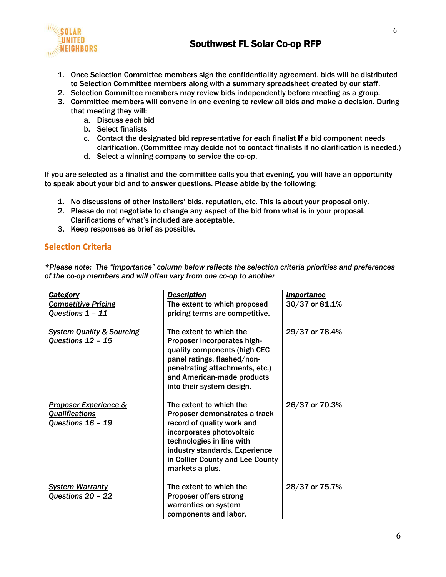

- 1. Once Selection Committee members sign the confidentiality agreement, bids will be distributed to Selection Committee members along with a summary spreadsheet created by our staff.
- 2. Selection Committee members may review bids independently before meeting as a group.
- 3. Committee members will convene in one evening to review all bids and make a decision. During that meeting they will:
	- a. Discuss each bid
	- b. Select finalists
	- c. Contact the designated bid representative for each finalist if a bid component needs clarification. (Committee may decide not to contact finalists if no clarification is needed.)
	- d. Select a winning company to service the co-op.

If you are selected as a finalist and the committee calls you that evening, you will have an opportunity to speak about your bid and to answer questions. Please abide by the following:

- 1. No discussions of other installers' bids, reputation, etc. This is about your proposal only.
- 2. Please do not negotiate to change any aspect of the bid from what is in your proposal. Clarifications of what's included are acceptable.
- 3. Keep responses as brief as possible.

## **Selection Criteria**

*\*Please note: The "importance" column below reflects the selection criteria priorities and preferences of the co-op members and will often vary from one co-op to another*

| <b>Category</b>                                                                | <b>Description</b>                                                                                                                                                                                                                        | <b>Importance</b> |
|--------------------------------------------------------------------------------|-------------------------------------------------------------------------------------------------------------------------------------------------------------------------------------------------------------------------------------------|-------------------|
| <b>Competitive Pricing</b><br>Questions 1 - 11                                 | The extent to which proposed<br>pricing terms are competitive.                                                                                                                                                                            | 30/37 or 81.1%    |
| <b>System Quality &amp; Sourcing</b><br>Questions 12 - 15                      | The extent to which the<br>Proposer incorporates high-<br>quality components (high CEC<br>panel ratings, flashed/non-<br>penetrating attachments, etc.)<br>and American-made products<br>into their system design.                        | 29/37 or 78.4%    |
| <b>Proposer Experience &amp;</b><br><b>Qualifications</b><br>Questions 16 - 19 | The extent to which the<br>Proposer demonstrates a track<br>record of quality work and<br>incorporates photovoltaic<br>technologies in line with<br>industry standards. Experience<br>in Collier County and Lee County<br>markets a plus. | 26/37 or 70.3%    |
| <b>System Warranty</b><br>Questions 20 - 22                                    | The extent to which the<br>Proposer offers strong<br>warranties on system<br>components and labor.                                                                                                                                        | 28/37 or 75.7%    |